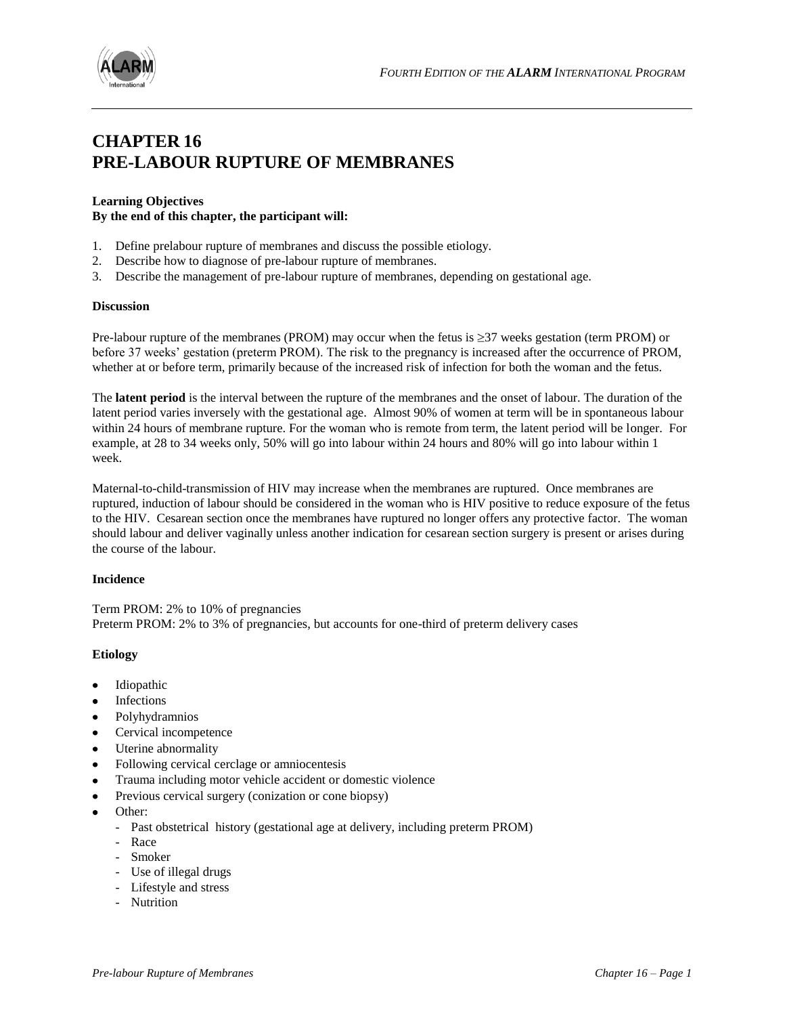



# **CHAPTER 16 PRE-LABOUR RUPTURE OF MEMBRANES**

# **Learning Objectives By the end of this chapter, the participant will:**

- 1. Define prelabour rupture of membranes and discuss the possible etiology.
- 2. Describe how to diagnose of pre-labour rupture of membranes.
- 3. Describe the management of pre-labour rupture of membranes, depending on gestational age.

#### **Discussion**

Pre-labour rupture of the membranes (PROM) may occur when the fetus is  $\geq$ 37 weeks gestation (term PROM) or before 37 weeks' gestation (preterm PROM). The risk to the pregnancy is increased after the occurrence of PROM, whether at or before term, primarily because of the increased risk of infection for both the woman and the fetus.

The **latent period** is the interval between the rupture of the membranes and the onset of labour. The duration of the latent period varies inversely with the gestational age. Almost 90% of women at term will be in spontaneous labour within 24 hours of membrane rupture. For the woman who is remote from term, the latent period will be longer. For example, at 28 to 34 weeks only, 50% will go into labour within 24 hours and 80% will go into labour within 1 week.

Maternal-to-child-transmission of HIV may increase when the membranes are ruptured. Once membranes are ruptured, induction of labour should be considered in the woman who is HIV positive to reduce exposure of the fetus to the HIV. Cesarean section once the membranes have ruptured no longer offers any protective factor. The woman should labour and deliver vaginally unless another indication for cesarean section surgery is present or arises during the course of the labour.

## **Incidence**

Term PROM: 2% to 10% of pregnancies Preterm PROM: 2% to 3% of pregnancies, but accounts for one-third of preterm delivery cases

## **Etiology**

- Idiopathic  $\bullet$
- Infections
- Polyhydramnios
- Cervical incompetence
- Uterine abnormality
- Following cervical cerclage or amniocentesis
- Trauma including motor vehicle accident or domestic violence  $\bullet$
- Previous cervical surgery (conization or cone biopsy)
- Other:
	- Past obstetrical history (gestational age at delivery, including preterm PROM)
	- Race
	- Smoker
	- Use of illegal drugs
	- Lifestyle and stress
	- Nutrition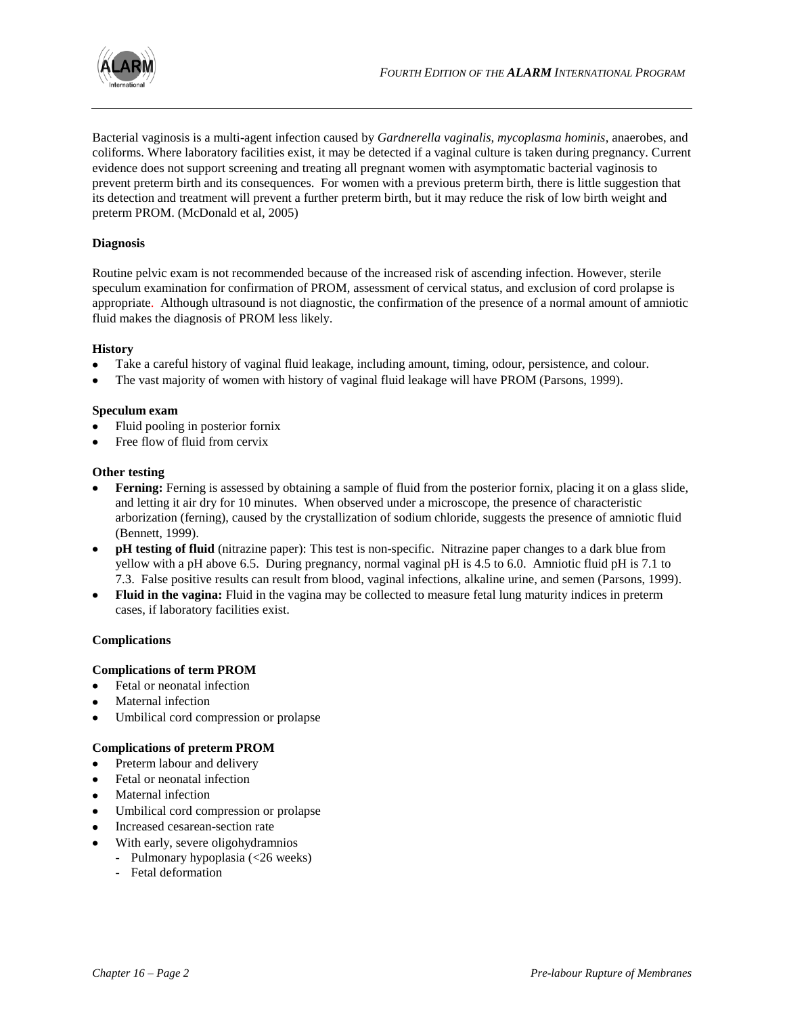

Bacterial vaginosis is a multi-agent infection caused by *Gardnerella vaginalis, mycoplasma hominis*, anaerobes, and coliforms. Where laboratory facilities exist, it may be detected if a vaginal culture is taken during pregnancy. Current evidence does not support screening and treating all pregnant women with asymptomatic bacterial vaginosis to prevent preterm birth and its consequences. For women with a previous preterm birth, there is little suggestion that its detection and treatment will prevent a further preterm birth, but it may reduce the risk of low birth weight and preterm PROM. (McDonald et al, 2005)

## **Diagnosis**

Routine pelvic exam is not recommended because of the increased risk of ascending infection. However, sterile speculum examination for confirmation of PROM, assessment of cervical status, and exclusion of cord prolapse is appropriate. Although ultrasound is not diagnostic, the confirmation of the presence of a normal amount of amniotic fluid makes the diagnosis of PROM less likely.

# **History**

- Take a careful history of vaginal fluid leakage, including amount, timing, odour, persistence, and colour.
- The vast majority of women with history of vaginal fluid leakage will have PROM (Parsons, 1999).

## **Speculum exam**

- Fluid pooling in posterior fornix
- Free flow of fluid from cervix

## **Other testing**

- **Ferning:** Ferning is assessed by obtaining a sample of fluid from the posterior fornix, placing it on a glass slide, and letting it air dry for 10 minutes. When observed under a microscope, the presence of characteristic arborization (ferning), caused by the crystallization of sodium chloride, suggests the presence of amniotic fluid (Bennett, 1999).
- **pH testing of fluid** (nitrazine paper): This test is non-specific. Nitrazine paper changes to a dark blue from yellow with a pH above 6.5. During pregnancy, normal vaginal pH is 4.5 to 6.0. Amniotic fluid pH is 7.1 to 7.3. False positive results can result from blood, vaginal infections, alkaline urine, and semen (Parsons, 1999).
- **Fluid in the vagina:** Fluid in the vagina may be collected to measure fetal lung maturity indices in preterm cases, if laboratory facilities exist.

## **Complications**

## **Complications of term PROM**

- Fetal or neonatal infection  $\bullet$
- Maternal infection
- Umbilical cord compression or prolapse

## **Complications of preterm PROM**

- Preterm labour and delivery
- Fetal or neonatal infection
- Maternal infection
- Umbilical cord compression or prolapse
- Increased cesarean-section rate
- With early, severe oligohydramnios
	- Pulmonary hypoplasia (<26 weeks)
	- Fetal deformation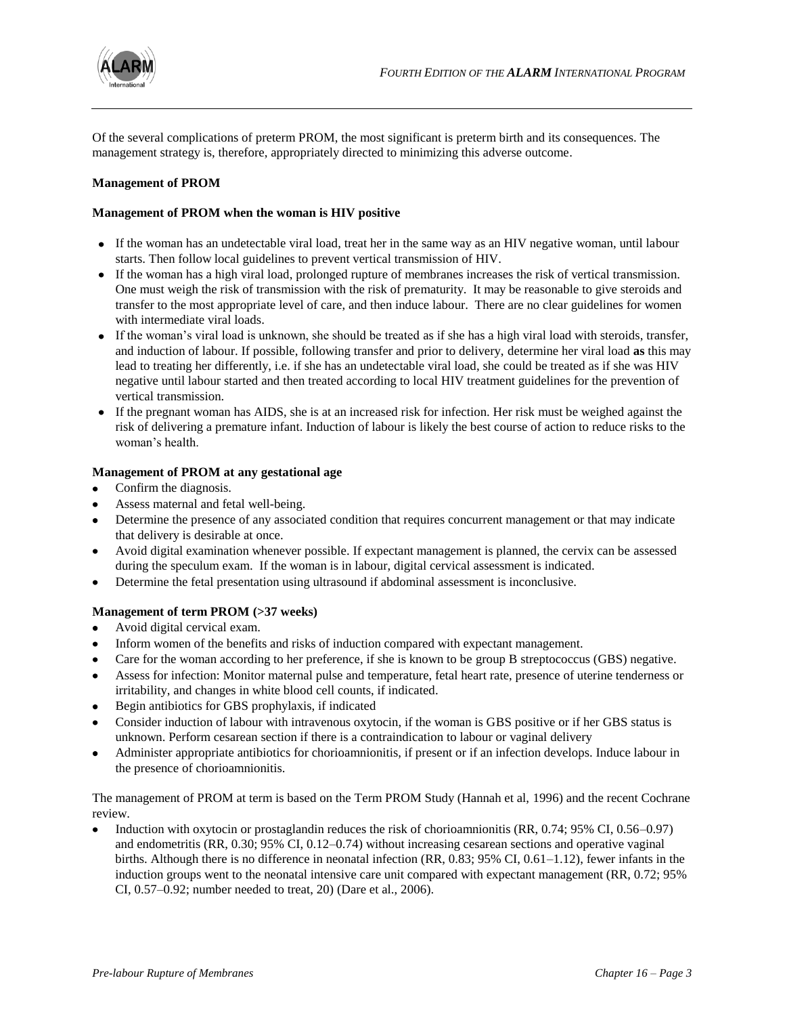

Of the several complications of preterm PROM, the most significant is preterm birth and its consequences. The management strategy is, therefore, appropriately directed to minimizing this adverse outcome.

## **Management of PROM**

#### **Management of PROM when the woman is HIV positive**

- If the woman has an undetectable viral load, treat her in the same way as an HIV negative woman, until labour starts. Then follow local guidelines to prevent vertical transmission of HIV.
- If the woman has a high viral load, prolonged rupture of membranes increases the risk of vertical transmission. One must weigh the risk of transmission with the risk of prematurity. It may be reasonable to give steroids and transfer to the most appropriate level of care, and then induce labour. There are no clear guidelines for women with intermediate viral loads.
- If the woman's viral load is unknown, she should be treated as if she has a high viral load with steroids, transfer, and induction of labour. If possible, following transfer and prior to delivery, determine her viral load **as** this may lead to treating her differently, i.e. if she has an undetectable viral load, she could be treated as if she was HIV negative until labour started and then treated according to local HIV treatment guidelines for the prevention of vertical transmission.
- If the pregnant woman has AIDS, she is at an increased risk for infection. Her risk must be weighed against the risk of delivering a premature infant. Induction of labour is likely the best course of action to reduce risks to the woman's health.

## **Management of PROM at any gestational age**

- Confirm the diagnosis.  $\bullet$
- Assess maternal and fetal well-being.
- Determine the presence of any associated condition that requires concurrent management or that may indicate that delivery is desirable at once.
- Avoid digital examination whenever possible. If expectant management is planned, the cervix can be assessed during the speculum exam. If the woman is in labour, digital cervical assessment is indicated.
- Determine the fetal presentation using ultrasound if abdominal assessment is inconclusive.

## **Management of term PROM (>37 weeks)**

- Avoid digital cervical exam.
- Inform women of the benefits and risks of induction compared with expectant management.
- Care for the woman according to her preference, if she is known to be group B streptococcus (GBS) negative.  $\bullet$
- Assess for infection: Monitor maternal pulse and temperature, fetal heart rate, presence of uterine tenderness or irritability, and changes in white blood cell counts, if indicated.
- Begin antibiotics for GBS prophylaxis, if indicated
- Consider induction of labour with intravenous oxytocin, if the woman is GBS positive or if her GBS status is unknown. Perform cesarean section if there is a contraindication to labour or vaginal delivery
- Administer appropriate antibiotics for chorioamnionitis, if present or if an infection develops. Induce labour in the presence of chorioamnionitis.

The management of PROM at term is based on the Term PROM Study (Hannah et al, 1996) and the recent Cochrane review.

Induction with oxytocin or prostaglandin reduces the risk of chorioamnionitis (RR, 0.74; 95% CI, 0.56–0.97) and endometritis (RR, 0.30; 95% CI, 0.12–0.74) without increasing cesarean sections and operative vaginal births. Although there is no difference in neonatal infection (RR, 0.83; 95% CI, 0.61–1.12), fewer infants in the induction groups went to the neonatal intensive care unit compared with expectant management (RR, 0.72; 95% CI, 0.57–0.92; number needed to treat, 20) (Dare et al., 2006).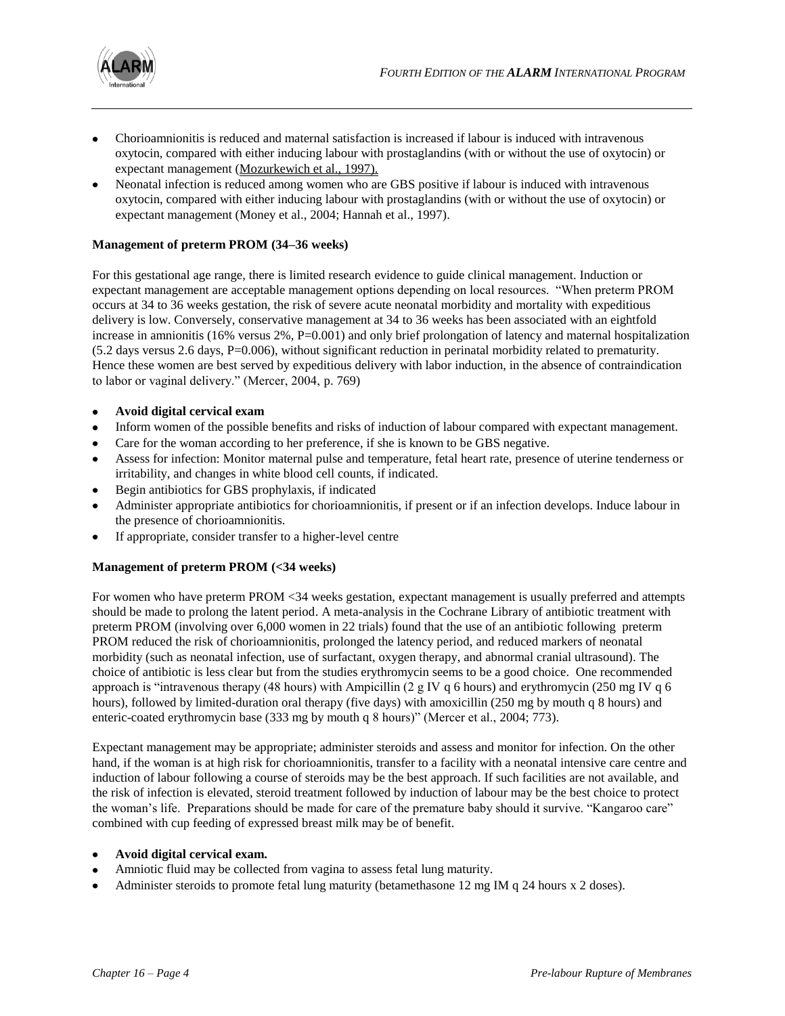

- Chorioamnionitis is reduced and maternal satisfaction is increased if labour is induced with intravenous oxytocin, compared with either inducing labour with prostaglandins (with or without the use of oxytocin) or expectant management (Mozurkewich et al., 1997).
- Neonatal infection is reduced among women who are GBS positive if labour is induced with intravenous oxytocin, compared with either inducing labour with prostaglandins (with or without the use of oxytocin) or expectant management (Money et al., 2004; Hannah et al., 1997).

## **Management of preterm PROM (34–36 weeks)**

For this gestational age range, there is limited research evidence to guide clinical management. Induction or expectant management are acceptable management options depending on local resources. "When preterm PROM occurs at 34 to 36 weeks gestation, the risk of severe acute neonatal morbidity and mortality with expeditious delivery is low. Conversely, conservative management at 34 to 36 weeks has been associated with an eightfold increase in amnionitis (16% versus  $2\%$ ,  $P=0.001$ ) and only brief prolongation of latency and maternal hospitalization (5.2 days versus 2.6 days, P=0.006), without significant reduction in perinatal morbidity related to prematurity. Hence these women are best served by expeditious delivery with labor induction, in the absence of contraindication to labor or vaginal delivery." (Mercer, 2004, p. 769)

- **Avoid digital cervical exam**
- Inform women of the possible benefits and risks of induction of labour compared with expectant management.
- Care for the woman according to her preference, if she is known to be GBS negative.
- Assess for infection: Monitor maternal pulse and temperature, fetal heart rate, presence of uterine tenderness or irritability, and changes in white blood cell counts, if indicated.
- Begin antibiotics for GBS prophylaxis, if indicated
- Administer appropriate antibiotics for chorioamnionitis, if present or if an infection develops. Induce labour in the presence of chorioamnionitis.
- If appropriate, consider transfer to a higher-level centre

## **Management of preterm PROM (<34 weeks)**

For women who have preterm PROM <34 weeks gestation, expectant management is usually preferred and attempts should be made to prolong the latent period. A meta-analysis in the Cochrane Library of antibiotic treatment with preterm PROM (involving over 6,000 women in 22 trials) found that the use of an antibiotic following preterm PROM reduced the risk of chorioamnionitis, prolonged the latency period, and reduced markers of neonatal morbidity (such as neonatal infection, use of surfactant, oxygen therapy, and abnormal cranial ultrasound). The choice of antibiotic is less clear but from the studies erythromycin seems to be a good choice. One recommended approach is "intravenous therapy (48 hours) with Ampicillin (2 g IV q 6 hours) and erythromycin (250 mg IV q 6 hours), followed by limited-duration oral therapy (five days) with amoxicillin (250 mg by mouth q 8 hours) and enteric-coated erythromycin base (333 mg by mouth q 8 hours)" (Mercer et al., 2004; 773).

Expectant management may be appropriate; administer steroids and assess and monitor for infection. On the other hand, if the woman is at high risk for chorioamnionitis, transfer to a facility with a neonatal intensive care centre and induction of labour following a course of steroids may be the best approach. If such facilities are not available, and the risk of infection is elevated, steroid treatment followed by induction of labour may be the best choice to protect the woman's life. Preparations should be made for care of the premature baby should it survive. "Kangaroo care" combined with cup feeding of expressed breast milk may be of benefit.

## **Avoid digital cervical exam.**

- Amniotic fluid may be collected from vagina to assess fetal lung maturity.
- Administer steroids to promote fetal lung maturity (betamethasone 12 mg IM q 24 hours x 2 doses).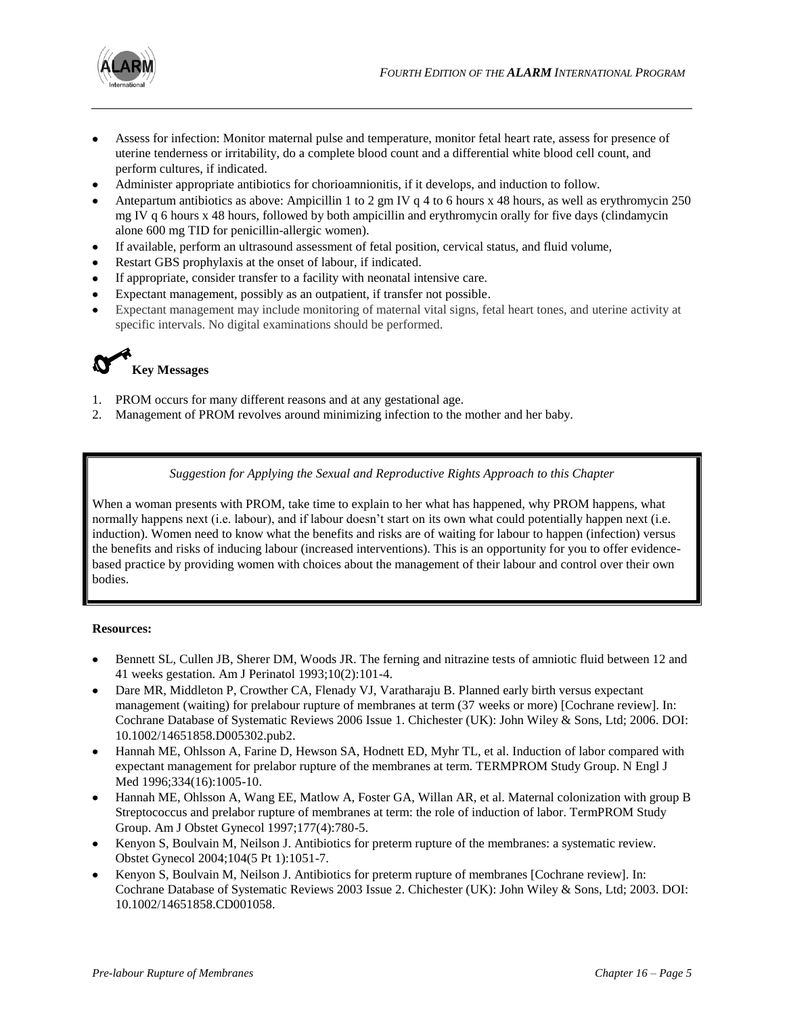

- Assess for infection: Monitor maternal pulse and temperature, monitor fetal heart rate, assess for presence of uterine tenderness or irritability, do a complete blood count and a differential white blood cell count, and perform cultures, if indicated.
- Administer appropriate antibiotics for chorioamnionitis, if it develops, and induction to follow.
- Antepartum antibiotics as above: Ampicillin 1 to 2 gm IV q 4 to 6 hours x 48 hours, as well as erythromycin 250 mg IV q 6 hours x 48 hours, followed by both ampicillin and erythromycin orally for five days (clindamycin alone 600 mg TID for penicillin-allergic women).
- If available, perform an ultrasound assessment of fetal position, cervical status, and fluid volume,
- Restart GBS prophylaxis at the onset of labour, if indicated.
- If appropriate, consider transfer to a facility with neonatal intensive care.
- Expectant management, possibly as an outpatient, if transfer not possible.
- Expectant management may include monitoring of maternal vital signs, fetal heart tones, and uterine activity at specific intervals. No digital examinations should be performed.



- 1. PROM occurs for many different reasons and at any gestational age.
- 2. Management of PROM revolves around minimizing infection to the mother and her baby.

*Suggestion for Applying the Sexual and Reproductive Rights Approach to this Chapter*

When a woman presents with PROM, take time to explain to her what has happened, why PROM happens, what normally happens next (i.e. labour), and if labour doesn't start on its own what could potentially happen next (i.e. induction). Women need to know what the benefits and risks are of waiting for labour to happen (infection) versus the benefits and risks of inducing labour (increased interventions). This is an opportunity for you to offer evidencebased practice by providing women with choices about the management of their labour and control over their own bodies.

## **Resources:**

- Bennett SL, Cullen JB, Sherer DM, Woods JR. The ferning and nitrazine tests of amniotic fluid between 12 and 41 weeks gestation. Am J Perinatol 1993;10(2):101-4.
- Dare MR, Middleton P, Crowther CA, Flenady VJ, Varatharaju B. Planned early birth versus expectant management (waiting) for prelabour rupture of membranes at term (37 weeks or more) [Cochrane review]. In: Cochrane Database of Systematic Reviews 2006 Issue 1. Chichester (UK): John Wiley & Sons, Ltd; 2006. DOI: 10.1002/14651858.D005302.pub2.
- Hannah ME, Ohlsson A, Farine D, Hewson SA, Hodnett ED, Myhr TL, et al. Induction of labor compared with expectant management for prelabor rupture of the membranes at term. TERMPROM Study Group. N Engl J Med 1996;334(16):1005-10.
- Hannah ME, Ohlsson A, Wang EE, Matlow A, Foster GA, Willan AR, et al. Maternal colonization with group B Streptococcus and prelabor rupture of membranes at term: the role of induction of labor. TermPROM Study Group. Am J Obstet Gynecol 1997;177(4):780-5.
- Kenyon S, Boulvain M, Neilson J. Antibiotics for preterm rupture of the membranes: a systematic review. Obstet Gynecol 2004;104(5 Pt 1):1051-7.
- Kenyon S, Boulvain M, Neilson J. Antibiotics for preterm rupture of membranes [Cochrane review]. In: Cochrane Database of Systematic Reviews 2003 Issue 2. Chichester (UK): John Wiley & Sons, Ltd; 2003. DOI: 10.1002/14651858.CD001058.